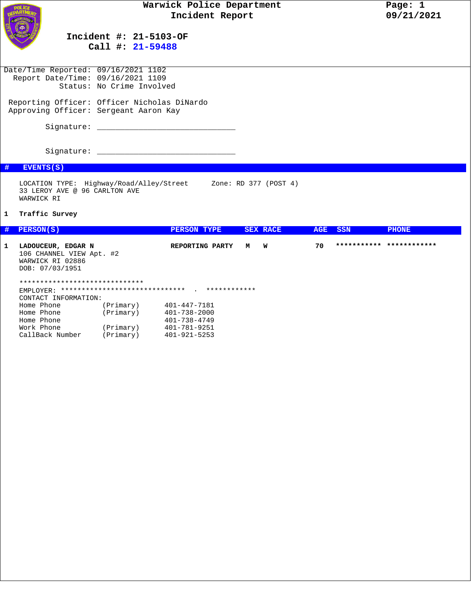

## **Incident #: 21-5103-OF Call #: 21-59488**

 Date/Time Reported: 09/16/2021 1102 Report Date/Time: 09/16/2021 1109 Status: No Crime Involved Reporting Officer: Officer Nicholas DiNardo Approving Officer: Sergeant Aaron Kay Signature: \_\_\_\_\_\_\_\_\_\_\_\_\_\_\_\_\_\_\_\_\_\_\_\_\_\_\_\_\_\_ Signature: \_\_\_\_\_\_\_\_\_\_\_\_\_\_\_\_\_\_\_\_\_\_\_\_\_\_\_\_\_\_

## **# EVENTS(S)**

LOCATION TYPE: Highway/Road/Alley/Street Zone: RD 377 (POST 4) 33 LEROY AVE @ 96 CARLTON AVE WARWICK RI

## **1 Traffic Survey**

| # | PERSON(S)                                                                             |  | PERSON TYPE        |                 |   | <b>SEX RACE</b> | <b>AGE</b> | <b>SSN</b> | <b>PHONE</b>             |
|---|---------------------------------------------------------------------------------------|--|--------------------|-----------------|---|-----------------|------------|------------|--------------------------|
| 1 | LADOUCEUR, EDGAR N<br>106 CHANNEL VIEW Apt. #2<br>WARWICK RI 02886<br>DOB: 07/03/1951 |  |                    | REPORTING PARTY | M | <b>W</b>        | 70         |            | *********** ************ |
|   | ******************************                                                        |  |                    |                 |   |                 |            |            |                          |
|   | EMPLOYER:                                                                             |  |                    |                 |   |                 |            |            |                          |
|   | CONTACT INFORMATION:                                                                  |  |                    |                 |   |                 |            |            |                          |
|   | (Primary)<br>Home Phone                                                               |  | 401-447-7181       |                 |   |                 |            |            |                          |
|   | (Primary)<br>Home Phone                                                               |  | 401-738-2000       |                 |   |                 |            |            |                          |
|   | Home Phone                                                                            |  | $401 - 738 - 4749$ |                 |   |                 |            |            |                          |
|   | (Primary)<br>Work Phone                                                               |  | $401 - 781 - 9251$ |                 |   |                 |            |            |                          |
|   | CallBack Number<br>(Primary)                                                          |  | $401 - 921 - 5253$ |                 |   |                 |            |            |                          |